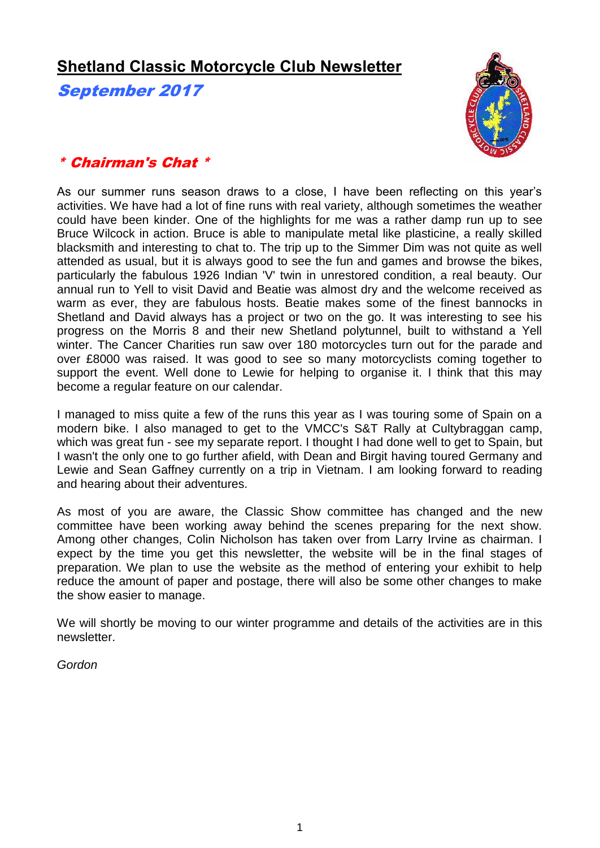# **Shetland Classic Motorcycle Club Newsletter**

September 2017



### \* Chairman's Chat \*

As our summer runs season draws to a close, I have been reflecting on this year's activities. We have had a lot of fine runs with real variety, although sometimes the weather could have been kinder. One of the highlights for me was a rather damp run up to see Bruce Wilcock in action. Bruce is able to manipulate metal like plasticine, a really skilled blacksmith and interesting to chat to. The trip up to the Simmer Dim was not quite as well attended as usual, but it is always good to see the fun and games and browse the bikes, particularly the fabulous 1926 Indian 'V' twin in unrestored condition, a real beauty. Our annual run to Yell to visit David and Beatie was almost dry and the welcome received as warm as ever, they are fabulous hosts. Beatie makes some of the finest bannocks in Shetland and David always has a project or two on the go. It was interesting to see his progress on the Morris 8 and their new Shetland polytunnel, built to withstand a Yell winter. The Cancer Charities run saw over 180 motorcycles turn out for the parade and over £8000 was raised. It was good to see so many motorcyclists coming together to support the event. Well done to Lewie for helping to organise it. I think that this may become a regular feature on our calendar.

I managed to miss quite a few of the runs this year as I was touring some of Spain on a modern bike. I also managed to get to the VMCC's S&T Rally at Cultybraggan camp, which was great fun - see my separate report. I thought I had done well to get to Spain, but I wasn't the only one to go further afield, with Dean and Birgit having toured Germany and Lewie and Sean Gaffney currently on a trip in Vietnam. I am looking forward to reading and hearing about their adventures.

As most of you are aware, the Classic Show committee has changed and the new committee have been working away behind the scenes preparing for the next show. Among other changes, Colin Nicholson has taken over from Larry Irvine as chairman. I expect by the time you get this newsletter, the website will be in the final stages of preparation. We plan to use the website as the method of entering your exhibit to help reduce the amount of paper and postage, there will also be some other changes to make the show easier to manage.

We will shortly be moving to our winter programme and details of the activities are in this newsletter.

*Gordon*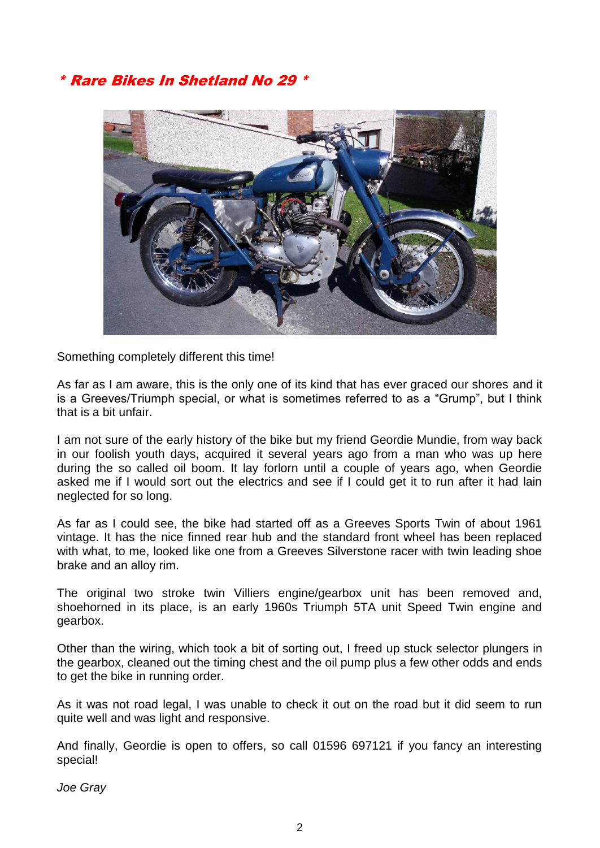### \* Rare Bikes In Shetland No 29 \*



Something completely different this time!

As far as I am aware, this is the only one of its kind that has ever graced our shores and it is a Greeves/Triumph special, or what is sometimes referred to as a "Grump", but I think that is a bit unfair.

I am not sure of the early history of the bike but my friend Geordie Mundie, from way back in our foolish youth days, acquired it several years ago from a man who was up here during the so called oil boom. It lay forlorn until a couple of years ago, when Geordie asked me if I would sort out the electrics and see if I could get it to run after it had lain neglected for so long.

As far as I could see, the bike had started off as a Greeves Sports Twin of about 1961 vintage. It has the nice finned rear hub and the standard front wheel has been replaced with what, to me, looked like one from a Greeves Silverstone racer with twin leading shoe brake and an alloy rim.

The original two stroke twin Villiers engine/gearbox unit has been removed and, shoehorned in its place, is an early 1960s Triumph 5TA unit Speed Twin engine and gearbox.

Other than the wiring, which took a bit of sorting out, I freed up stuck selector plungers in the gearbox, cleaned out the timing chest and the oil pump plus a few other odds and ends to get the bike in running order.

As it was not road legal, I was unable to check it out on the road but it did seem to run quite well and was light and responsive.

And finally, Geordie is open to offers, so call 01596 697121 if you fancy an interesting special!

*Joe Gray*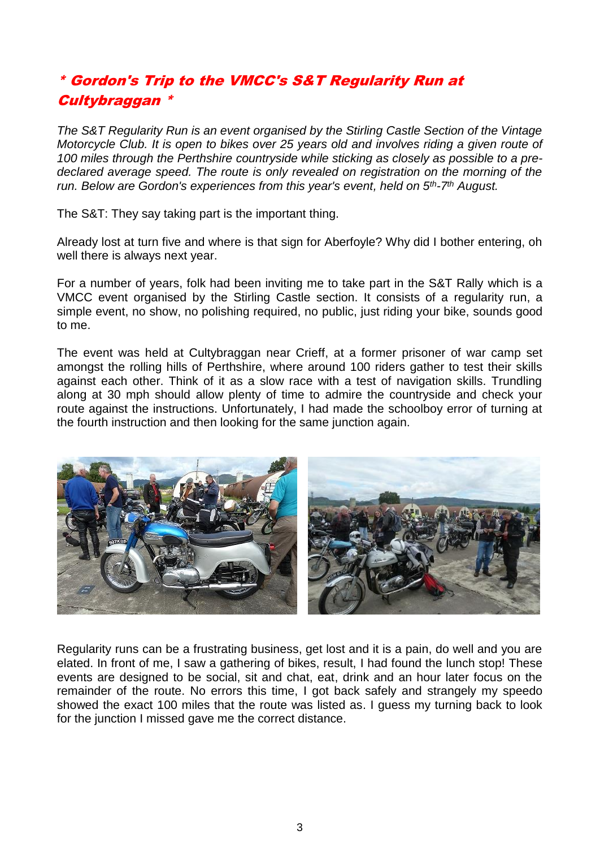## \* Gordon's Trip to the VMCC's S&T Regularity Run at **Cultybraggan**

*The S&T Regularity Run is an event organised by the Stirling Castle Section of the Vintage Motorcycle Club. It is open to bikes over 25 years old and involves riding a given route of 100 miles through the Perthshire countryside while sticking as closely as possible to a predeclared average speed. The route is only revealed on registration on the morning of the run. Below are Gordon's experiences from this year's event, held on 5th-7 th August.*

The S&T: They say taking part is the important thing.

Already lost at turn five and where is that sign for Aberfoyle? Why did I bother entering, oh well there is always next year.

For a number of years, folk had been inviting me to take part in the S&T Rally which is a VMCC event organised by the Stirling Castle section. It consists of a regularity run, a simple event, no show, no polishing required, no public, just riding your bike, sounds good to me.

The event was held at Cultybraggan near Crieff, at a former prisoner of war camp set amongst the rolling hills of Perthshire, where around 100 riders gather to test their skills against each other. Think of it as a slow race with a test of navigation skills. Trundling along at 30 mph should allow plenty of time to admire the countryside and check your route against the instructions. Unfortunately, I had made the schoolboy error of turning at the fourth instruction and then looking for the same junction again.



Regularity runs can be a frustrating business, get lost and it is a pain, do well and you are elated. In front of me, I saw a gathering of bikes, result, I had found the lunch stop! These events are designed to be social, sit and chat, eat, drink and an hour later focus on the remainder of the route. No errors this time, I got back safely and strangely my speedo showed the exact 100 miles that the route was listed as. I guess my turning back to look for the junction I missed gave me the correct distance.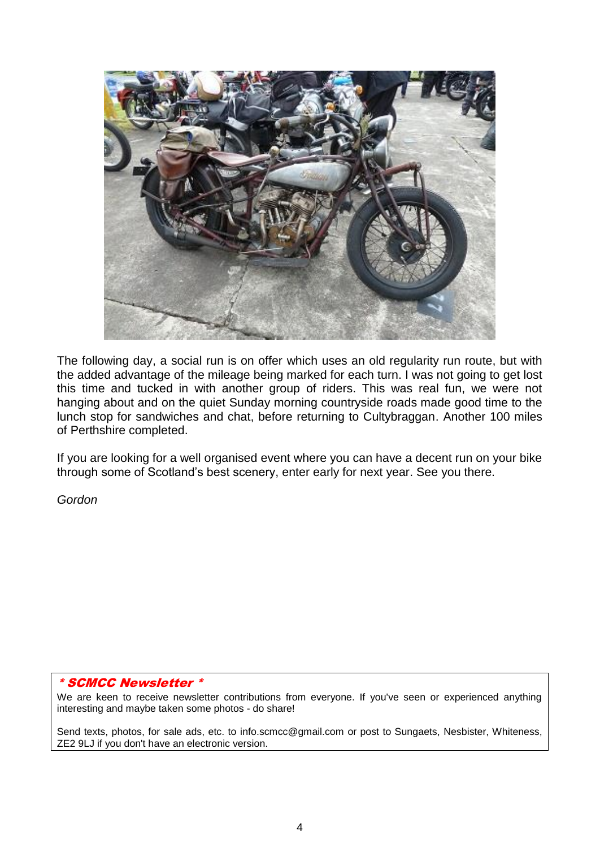

The following day, a social run is on offer which uses an old regularity run route, but with the added advantage of the mileage being marked for each turn. I was not going to get lost this time and tucked in with another group of riders. This was real fun, we were not hanging about and on the quiet Sunday morning countryside roads made good time to the lunch stop for sandwiches and chat, before returning to Cultybraggan. Another 100 miles of Perthshire completed.

If you are looking for a well organised event where you can have a decent run on your bike through some of Scotland's best scenery, enter early for next year. See you there.

*Gordon*

#### \* SCMCC Newsletter \*

We are keen to receive newsletter contributions from everyone. If you've seen or experienced anything interesting and maybe taken some photos - do share!

Send texts, photos, for sale ads, etc. to info.scmcc@gmail.com or post to Sungaets, Nesbister, Whiteness, ZE2 9LJ if you don't have an electronic version.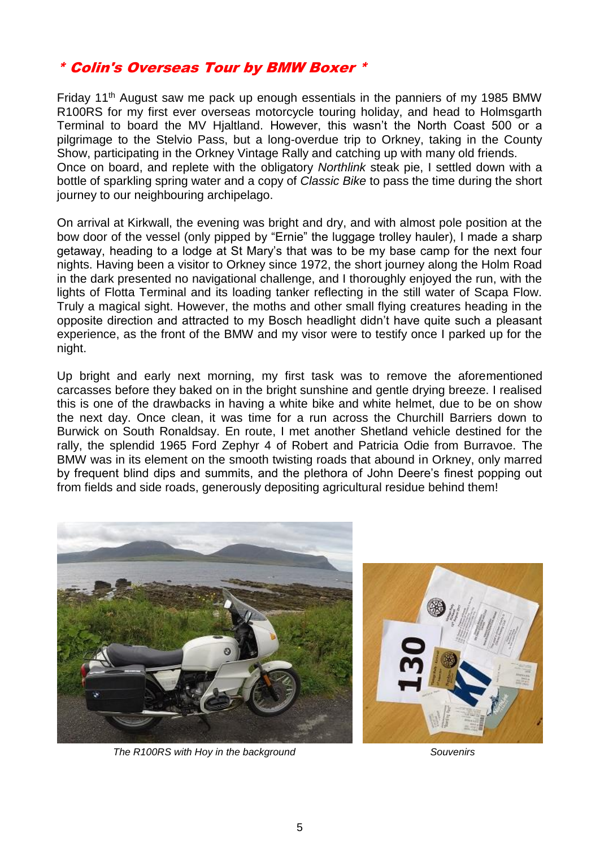#### \* Colin's Overseas Tour by BMW Boxer \*

Friday 11th August saw me pack up enough essentials in the panniers of my 1985 BMW R100RS for my first ever overseas motorcycle touring holiday, and head to Holmsgarth Terminal to board the MV Hjaltland. However, this wasn't the North Coast 500 or a pilgrimage to the Stelvio Pass, but a long-overdue trip to Orkney, taking in the County Show, participating in the Orkney Vintage Rally and catching up with many old friends. Once on board, and replete with the obligatory *Northlink* steak pie, I settled down with a bottle of sparkling spring water and a copy of *Classic Bike* to pass the time during the short journey to our neighbouring archipelago.

On arrival at Kirkwall, the evening was bright and dry, and with almost pole position at the bow door of the vessel (only pipped by "Ernie" the luggage trolley hauler), I made a sharp getaway, heading to a lodge at St Mary's that was to be my base camp for the next four nights. Having been a visitor to Orkney since 1972, the short journey along the Holm Road in the dark presented no navigational challenge, and I thoroughly enjoyed the run, with the lights of Flotta Terminal and its loading tanker reflecting in the still water of Scapa Flow. Truly a magical sight. However, the moths and other small flying creatures heading in the opposite direction and attracted to my Bosch headlight didn't have quite such a pleasant experience, as the front of the BMW and my visor were to testify once I parked up for the night.

Up bright and early next morning, my first task was to remove the aforementioned carcasses before they baked on in the bright sunshine and gentle drying breeze. I realised this is one of the drawbacks in having a white bike and white helmet, due to be on show the next day. Once clean, it was time for a run across the Churchill Barriers down to Burwick on South Ronaldsay. En route, I met another Shetland vehicle destined for the rally, the splendid 1965 Ford Zephyr 4 of Robert and Patricia Odie from Burravoe. The BMW was in its element on the smooth twisting roads that abound in Orkney, only marred by frequent blind dips and summits, and the plethora of John Deere's finest popping out from fields and side roads, generously depositing agricultural residue behind them!



*The R100RS with Hoy in the background Souvenirs*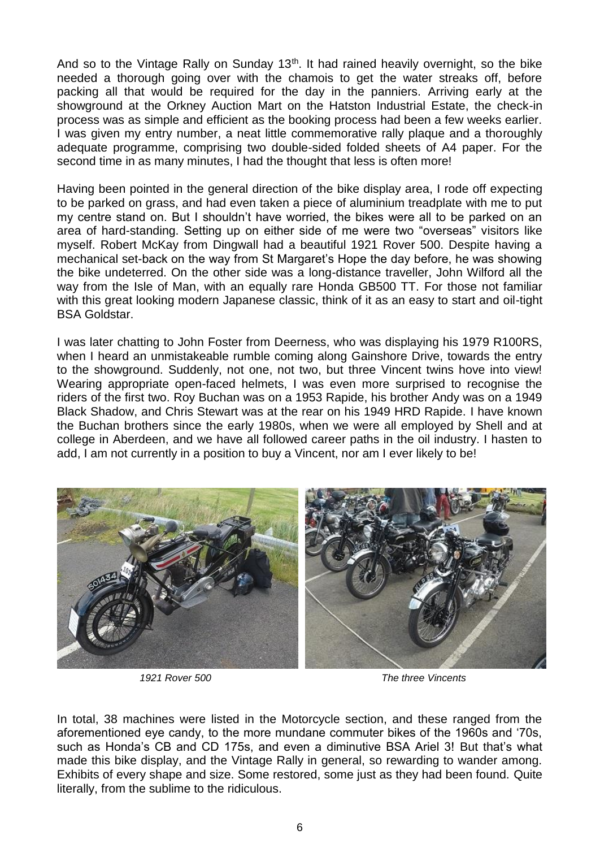And so to the Vintage Rally on Sunday 13<sup>th</sup>. It had rained heavily overnight, so the bike needed a thorough going over with the chamois to get the water streaks off, before packing all that would be required for the day in the panniers. Arriving early at the showground at the Orkney Auction Mart on the Hatston Industrial Estate, the check-in process was as simple and efficient as the booking process had been a few weeks earlier. I was given my entry number, a neat little commemorative rally plaque and a thoroughly adequate programme, comprising two double-sided folded sheets of A4 paper. For the second time in as many minutes, I had the thought that less is often more!

Having been pointed in the general direction of the bike display area, I rode off expecting to be parked on grass, and had even taken a piece of aluminium treadplate with me to put my centre stand on. But I shouldn't have worried, the bikes were all to be parked on an area of hard-standing. Setting up on either side of me were two "overseas" visitors like myself. Robert McKay from Dingwall had a beautiful 1921 Rover 500. Despite having a mechanical set-back on the way from St Margaret's Hope the day before, he was showing the bike undeterred. On the other side was a long-distance traveller, John Wilford all the way from the Isle of Man, with an equally rare Honda GB500 TT. For those not familiar with this great looking modern Japanese classic, think of it as an easy to start and oil-tight BSA Goldstar.

I was later chatting to John Foster from Deerness, who was displaying his 1979 R100RS, when I heard an unmistakeable rumble coming along Gainshore Drive, towards the entry to the showground. Suddenly, not one, not two, but three Vincent twins hove into view! Wearing appropriate open-faced helmets, I was even more surprised to recognise the riders of the first two. Roy Buchan was on a 1953 Rapide, his brother Andy was on a 1949 Black Shadow, and Chris Stewart was at the rear on his 1949 HRD Rapide. I have known the Buchan brothers since the early 1980s, when we were all employed by Shell and at college in Aberdeen, and we have all followed career paths in the oil industry. I hasten to add, I am not currently in a position to buy a Vincent, nor am I ever likely to be!



*1921 Rover 500 The three Vincents*

In total, 38 machines were listed in the Motorcycle section, and these ranged from the aforementioned eye candy, to the more mundane commuter bikes of the 1960s and '70s, such as Honda's CB and CD 175s, and even a diminutive BSA Ariel 3! But that's what made this bike display, and the Vintage Rally in general, so rewarding to wander among. Exhibits of every shape and size. Some restored, some just as they had been found. Quite literally, from the sublime to the ridiculous.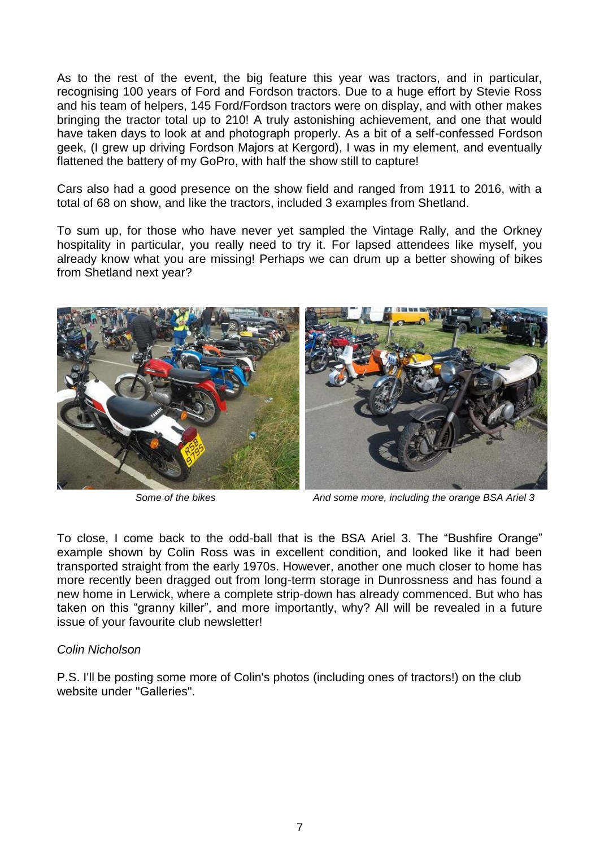As to the rest of the event, the big feature this year was tractors, and in particular, recognising 100 years of Ford and Fordson tractors. Due to a huge effort by Stevie Ross and his team of helpers, 145 Ford/Fordson tractors were on display, and with other makes bringing the tractor total up to 210! A truly astonishing achievement, and one that would have taken days to look at and photograph properly. As a bit of a self-confessed Fordson geek, (I grew up driving Fordson Majors at Kergord), I was in my element, and eventually flattened the battery of my GoPro, with half the show still to capture!

Cars also had a good presence on the show field and ranged from 1911 to 2016, with a total of 68 on show, and like the tractors, included 3 examples from Shetland.

To sum up, for those who have never yet sampled the Vintage Rally, and the Orkney hospitality in particular, you really need to try it. For lapsed attendees like myself, you already know what you are missing! Perhaps we can drum up a better showing of bikes from Shetland next year?



*Some of the bikes And some more, including the orange BSA Ariel 3*

To close, I come back to the odd-ball that is the BSA Ariel 3. The "Bushfire Orange" example shown by Colin Ross was in excellent condition, and looked like it had been transported straight from the early 1970s. However, another one much closer to home has more recently been dragged out from long-term storage in Dunrossness and has found a new home in Lerwick, where a complete strip-down has already commenced. But who has taken on this "granny killer", and more importantly, why? All will be revealed in a future issue of your favourite club newsletter!

#### *Colin Nicholson*

P.S. I'll be posting some more of Colin's photos (including ones of tractors!) on the club website under "Galleries".